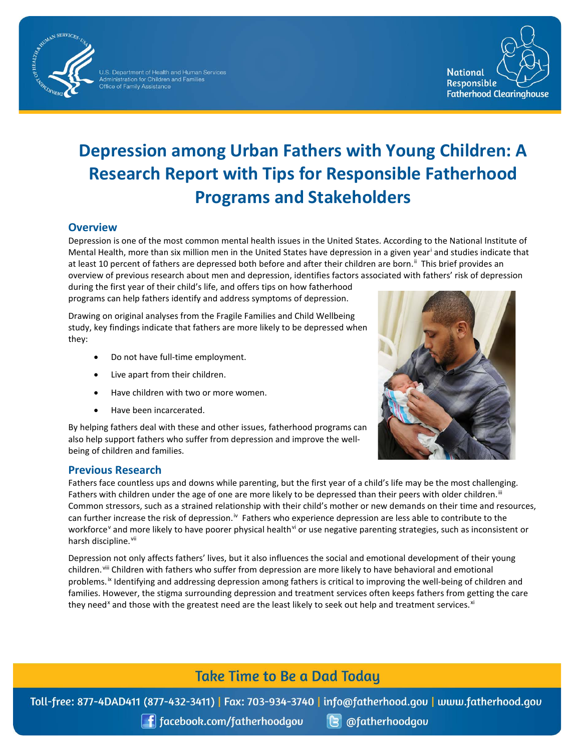

U.S. Department of Health and Human Services<br>Administration for Children and Families<br>Office of Family Assistance



# **Depression among Urban Fathers with Young Children: A Research Report with Tips for Responsible Fatherhood Programs and Stakeholders**

#### **Overview**

Depression is one of the most common mental health issues in the United States. According to the National Institute of Mental Health, more than six million men in the United States have depression in a given year[i](#page-3-0) and studies indicate that at least 10 percent of fathers are depressed both before and after their children are born.<sup>[ii](#page-3-1)</sup> This brief provides an overview of previous research about men and depression, identifies factors associated with fathers' risk of depression

during the first year of their child's life, and offers tips on how fatherhood programs can help fathers identify and address symptoms of depression.

Drawing on original analyses from the Fragile Families and Child Wellbeing study, key findings indicate that fathers are more likely to be depressed when they:

- Do not have full-time employment.
- Live apart from their children.
- Have children with two or more women.
- Have been incarcerated.

By helping fathers deal with these and other issues, fatherhood programs can also help support fathers who suffer from depression and improve the wellbeing of children and families.

#### **Previous Research**



Fathers face countless ups and downs while parenting, but the first year of a child's life may be the most challenging. Fathers with children under the age of one are more likely to be depressed than their peers with older children.<sup>iii</sup> Common stressors, such as a strained relationship with their child's mother or new demands on their time and resources, can further increase the risk of depression.<sup>iv</sup> Fathers who experience depression are less able to contribute to the workforce<sup>[v](#page-3-4)</sup> and more likely to have poorer physical health<sup>[vi](#page-3-5)</sup> or use negative parenting strategies, such as inconsistent or harsh discipline.<sup>vii</sup>

Depression not only affects fathers' lives, but it also influences the social and emotional development of their young children.<sup>[viii](#page-3-7)</sup> Children with fathers who suffer from depression are more likely to have behavioral and emotional problems.<sup>[ix](#page-3-8)</sup> Identifying and addressing depression among fathers is critical to improving the well-being of children and families. However, the stigma surrounding depression and treatment services often keeps fathers from getting the care they need<sup>[x](#page-3-9)</sup> and those with the greatest need are the least likely to seek out help and treatment services.<sup>[xi](#page-3-10)</sup>

# **Take Time to Be a Dad Today**

Toll-free: 877-4DAD411 (877-432-3411) | Fax: 703-934-3740 | info@fatherhood.gov | www.fatherhood.gov

 $\int$  facebook.com/fatherhoodgov

**B** @fatherhoodgou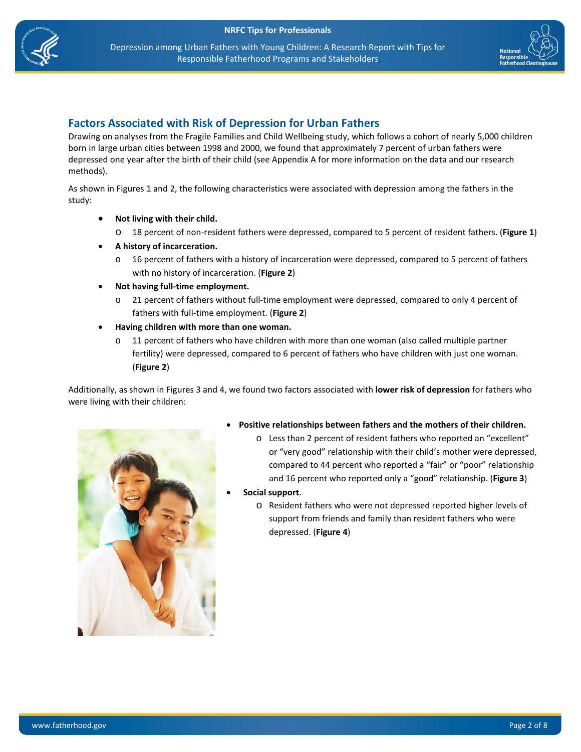



#### **Factors Associated with Risk of Depression for Urban Fathers**

Drawing on analyses from the Fragile Families and Child Wellbeing study, which follows a cohort of nearly 5,000 children born in large urban cities between 1998 and 2000, we found that approximately 7 percent of urban fathers were depressed one year after the birth of their child (see Appendix A for more information on the data and our research methods).

As shown in Figures 1 and 2, the following characteristics were associated with depression among the fathers in the study:

- **Not living with their child.**
	- o 18 percent of non-resident fathers were depressed, compared to 5 percent of resident fathers. (**Figure 1**)
- **A history of incarceration.** 
	- 16 percent of fathers with a history of incarceration were depressed, compared to 5 percent of fathers with no history of incarceration. (**Figure 2**)
- **Not having full-time employment.** 
	- 21 percent of fathers without full-time employment were depressed, compared to only 4 percent of fathers with full-time employment. (**Figure 2**)
- **Having children with more than one woman.**
	- 11 percent of fathers who have children with more than one woman (also called multiple partner fertility) were depressed, compared to 6 percent of fathers who have children with just one woman. (**Figure 2**)

Additionally, as shown in Figures 3 and 4, we found two factors associated with **lower risk of depression** for fathers who were living with their children:



- **Positive relationships between fathers and the mothers of their children.**
	- o Less than 2 percent of resident fathers who reported an "excellent" or "very good" relationship with their child's mother were depressed, compared to 44 percent who reported a "fair" or "poor" relationship and 16 percent who reported only a "good" relationship. (**Figure 3**)
- **Social support**.
	- o Resident fathers who were not depressed reported higher levels of support from friends and family than resident fathers who were depressed. (**Figure 4**)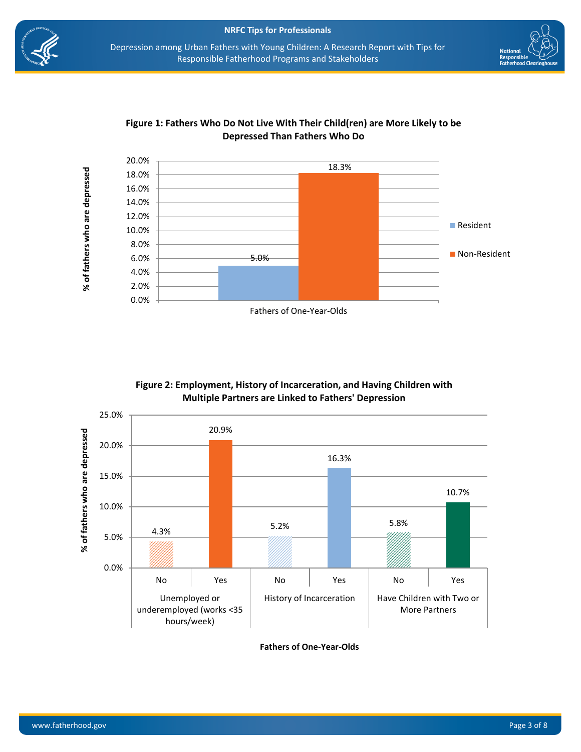







#### **Figure 2: Employment, History of Incarceration, and Having Children with Multiple Partners are Linked to Fathers' Depression**



**Fathers of One-Year-Olds**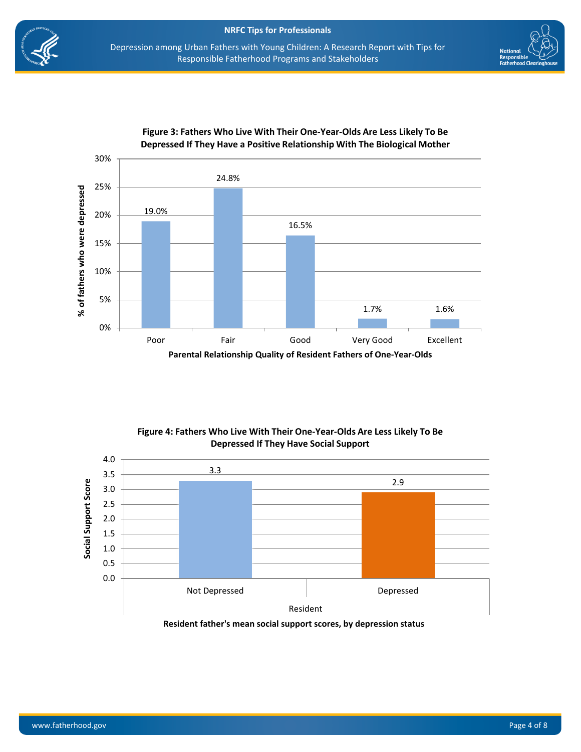



<span id="page-3-6"></span><span id="page-3-5"></span><span id="page-3-4"></span><span id="page-3-3"></span><span id="page-3-2"></span><span id="page-3-1"></span><span id="page-3-0"></span>

**Figure 3: Fathers Who Live With Their One-Year-Olds Are Less Likely To Be Depressed If They Have a Positive Relationship With The Biological Mother**

**Figure 4: Fathers Who Live With Their One-Year-Olds Are Less Likely To Be Depressed If They Have Social Support**

<span id="page-3-10"></span><span id="page-3-9"></span><span id="page-3-8"></span><span id="page-3-7"></span>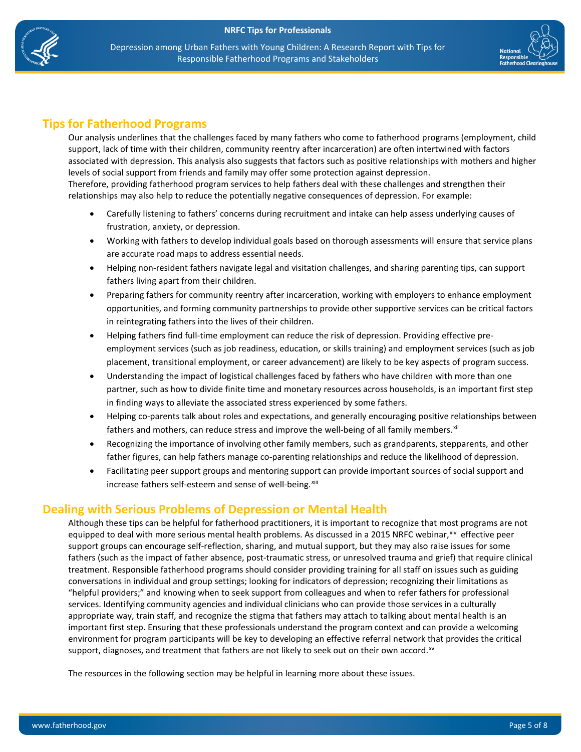



# **Tips for Fatherhood Programs**

Our analysis underlines that the challenges faced by many fathers who come to fatherhood programs (employment, child support, lack of time with their children, community reentry after incarceration) are often intertwined with factors associated with depression. This analysis also suggests that factors such as positive relationships with mothers and higher levels of social support from friends and family may offer some protection against depression.

Therefore, providing fatherhood program services to help fathers deal with these challenges and strengthen their relationships may also help to reduce the potentially negative consequences of depression. For example:

- Carefully listening to fathers' concerns during recruitment and intake can help assess underlying causes of frustration, anxiety, or depression.
- Working with fathers to develop individual goals based on thorough assessments will ensure that service plans are accurate road maps to address essential needs.
- Helping non-resident fathers navigate legal and visitation challenges, and sharing parenting tips, can support fathers living apart from their children.
- Preparing fathers for community reentry after incarceration, working with employers to enhance employment opportunities, and forming community partnerships to provide other supportive services can be critical factors in reintegrating fathers into the lives of their children.
- Helping fathers find full-time employment can reduce the risk of depression. Providing effective preemployment services (such as job readiness, education, or skills training) and employment services (such as job placement, transitional employment, or career advancement) are likely to be key aspects of program success.
- Understanding the impact of logistical challenges faced by fathers who have children with more than one partner, such as how to divide finite time and monetary resources across households, is an important first step in finding ways to alleviate the associated stress experienced by some fathers.
- Helping co-parents talk about roles and expectations, and generally encouraging positive relationships between fathers and mothers, can reduce stress and improve the well-being of all family members. $x^{iii}$
- Recognizing the importance of involving other family members, such as grandparents, stepparents, and other father figures, can help fathers manage co-parenting relationships and reduce the likelihood of depression.
- Facilitating peer support groups and mentoring support can provide important sources of social support and increase fathers self-esteem and sense of well-being.<sup>[xiii](#page-4-1)</sup>

### <span id="page-4-3"></span><span id="page-4-2"></span><span id="page-4-1"></span><span id="page-4-0"></span>**Dealing with Serious Problems of Depression or Mental Health**

Although these tips can be helpful for fatherhood practitioners, it is important to recognize that most programs are not equipped to deal with more serious mental health problems. As discussed in a 2015 NRFC webinar, [xiv](#page-4-2) effective peer support groups can encourage self-reflection, sharing, and mutual support, but they may also raise issues for some fathers (such as the impact of father absence, post-traumatic stress, or unresolved trauma and grief) that require clinical treatment. Responsible fatherhood programs should consider providing training for all staff on issues such as guiding conversations in individual and group settings; looking for indicators of depression; recognizing their limitations as "helpful providers;" and knowing when to seek support from colleagues and when to refer fathers for professional services. Identifying community agencies and individual clinicians who can provide those services in a culturally appropriate way, train staff, and recognize the stigma that fathers may attach to talking about mental health is an important first step. Ensuring that these professionals understand the program context and can provide a welcoming environment for program participants will be key to developing an effective referral network that provides the critical support, diagnoses, and treatment that fathers are not likely to seek out on their own accord. $x<sup>w</sup>$ 

The resources in the following section may be helpful in learning more about these issues.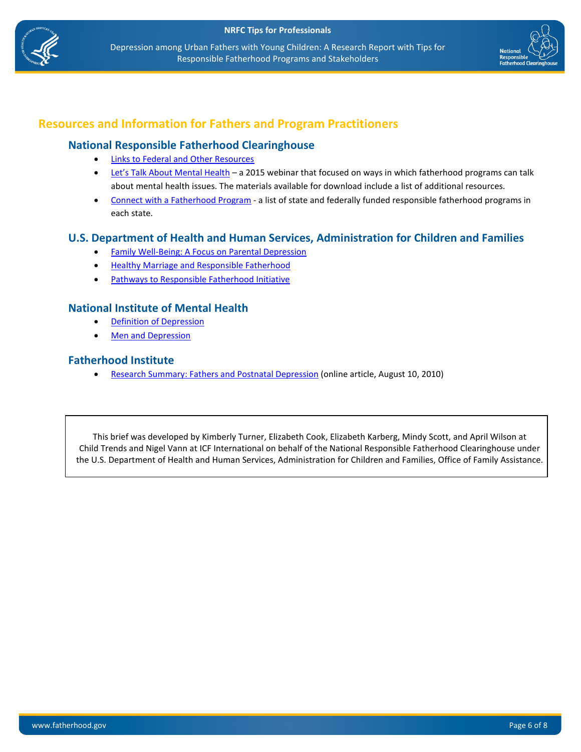



# **Resources and Information for Fathers and Program Practitioners**

#### **National Responsible Fatherhood Clearinghouse**

- **[Links to Federal and Other Resources](https://www.fatherhood.gov/content/mental-health)**
- Let's Talk About Mental Health a 2015 webinar that focused on ways in which fatherhood programs can talk about mental health issues. The materials available for download include a list of additional resources.
- [Connect with a Fatherhood Program](https://www.fatherhood.gov/for-dads/connect-with-programs)  a list of state and federally funded responsible fatherhood programs in each state.

#### **U.S. Department of Health and Human Services, Administration for Children and Families**

- **[Family Well-Being: A Focus on Parental Depression](http://eclkc.ohs.acf.hhs.gov/hslc/tta-system/family/docs/depression-pfce-rtp.pdf)**
- [Healthy Marriage and Responsible Fatherhood](https://hmrf.acf.hhs.gov/)
- [Pathways to Responsible Fatherhood Initiative](http://www.acf.hhs.gov/programs/ofa/programs/healthy-marriage/responsible-fatherhood)

#### **National Institute of Mental Health**

- [Definition of Depression](http://www.nimh.nih.gov/health/topics/depression/index.shtml)
- [Men and Depression](http://www.nimh.nih.gov/health/publications/men-and-depression/index.shtml)

#### **Fatherhood Institute**

• [Research Summary: Fathers and Postnatal Depression](http://www.fatherhoodinstitute.org/2010/fatherhood-institute-research-summary-fathers-and-postnatal-depression/) (online article, August 10, 2010)

<span id="page-5-0"></span>This brief was developed by Kimberly Turner, Elizabeth Cook, Elizabeth Karberg, Mindy Scott, and April Wilson at Child Trends and Nigel Vann at ICF International on behalf of the National Responsible Fatherhood Clearinghouse under the U.S. Department of Health and Human Services, Administration for Children and Families, Office of Family Assistance.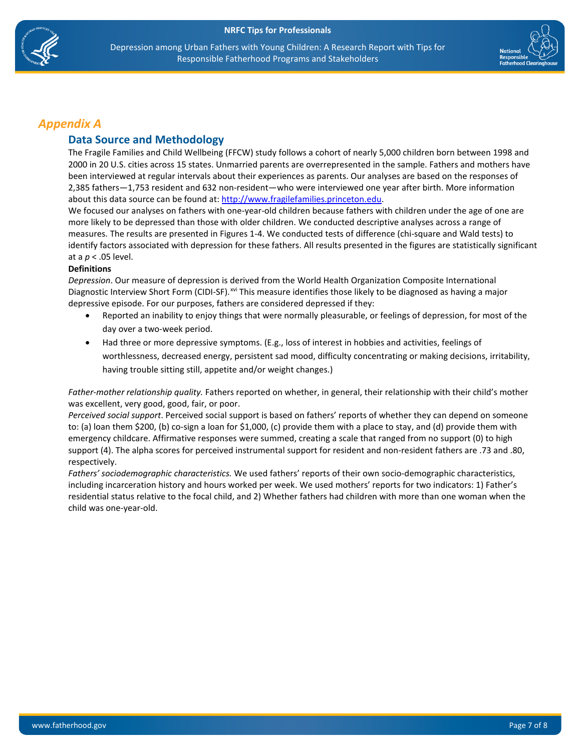



### *Appendix A*

#### **Data Source and Methodology**

The Fragile Families and Child Wellbeing (FFCW) study follows a cohort of nearly 5,000 children born between 1998 and 2000 in 20 U.S. cities across 15 states. Unmarried parents are overrepresented in the sample. Fathers and mothers have been interviewed at regular intervals about their experiences as parents. Our analyses are based on the responses of 2,385 fathers—1,753 resident and 632 non-resident—who were interviewed one year after birth. More information about this data source can be found at[: http://www.fragilefamilies.princeton.edu.](http://www.fragilefamilies.princeton.edu/)

We focused our analyses on fathers with one-year-old children because fathers with children under the age of one are more likely to be depressed than those with older children. We conducted descriptive analyses across a range of measures. The results are presented in Figures 1-4. We conducted tests of difference (chi-square and Wald tests) to identify factors associated with depression for these fathers. All results presented in the figures are statistically significant at a *p* < .05 level.

#### **Definitions**

*Depression*. Our measure of depression is derived from the World Health Organization Composite International Diagnostic Interview Short Form (CIDI-SF).<sup>[xvi](#page-5-0)</sup> This measure identifies those likely to be diagnosed as having a major depressive episode. For our purposes, fathers are considered depressed if they:

- Reported an inability to enjoy things that were normally pleasurable, or feelings of depression, for most of the day over a two-week period.
- Had three or more depressive symptoms. (E.g., loss of interest in hobbies and activities, feelings of worthlessness, decreased energy, persistent sad mood, difficulty concentrating or making decisions, irritability, having trouble sitting still, appetite and/or weight changes.)

*Father-mother relationship quality.* Fathers reported on whether, in general, their relationship with their child's mother was excellent, very good, good, fair, or poor.

*Perceived social support*. Perceived social support is based on fathers' reports of whether they can depend on someone to: (a) loan them \$200, (b) co-sign a loan for \$1,000, (c) provide them with a place to stay, and (d) provide them with emergency childcare. Affirmative responses were summed, creating a scale that ranged from no support (0) to high support (4). The alpha scores for perceived instrumental support for resident and non-resident fathers are .73 and .80, respectively.

*Fathers' sociodemographic characteristics.* We used fathers' reports of their own socio-demographic characteristics, including incarceration history and hours worked per week. We used mothers' reports for two indicators: 1) Father's residential status relative to the focal child, and 2) Whether fathers had children with more than one woman when the child was one-year-old.